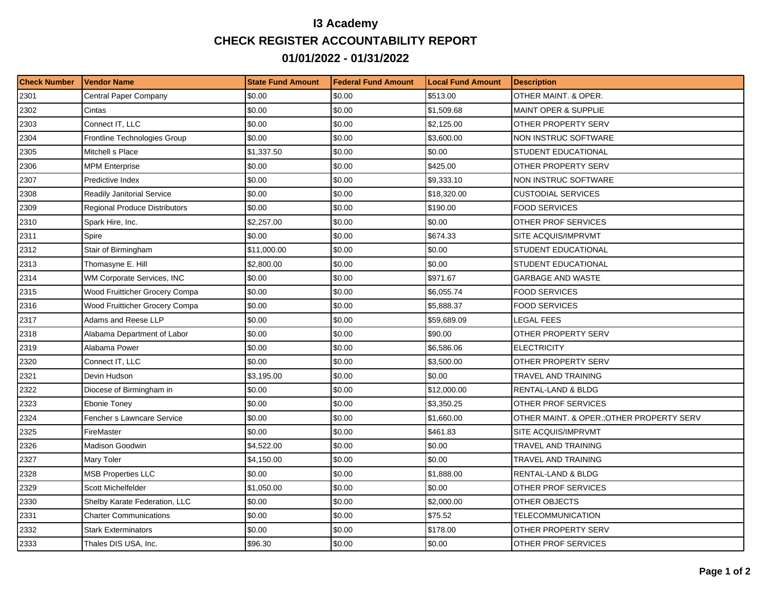## **I3 Academy CHECK REGISTER ACCOUNTABILITY REPORT 01/01/2022 - 01/31/2022**

| <b>Check Number</b> | <b>Vendor Name</b>                   | <b>State Fund Amount</b> | <b>Federal Fund Amount</b> | <b>Local Fund Amount</b> | <b>Description</b>                        |
|---------------------|--------------------------------------|--------------------------|----------------------------|--------------------------|-------------------------------------------|
| 2301                | Central Paper Company                | \$0.00                   | \$0.00                     | \$513.00                 | OTHER MAINT, & OPER.                      |
| 2302                | Cintas                               | \$0.00                   | \$0.00                     | \$1,509.68               | <b>MAINT OPER &amp; SUPPLIE</b>           |
| 2303                | Connect IT, LLC                      | \$0.00                   | \$0.00                     | \$2,125.00               | OTHER PROPERTY SERV                       |
| 2304                | Frontline Technologies Group         | \$0.00                   | \$0.00                     | \$3,600.00               | NON INSTRUC SOFTWARE                      |
| 2305                | Mitchell s Place                     | \$1,337.50               | \$0.00                     | \$0.00                   | STUDENT EDUCATIONAL                       |
| 2306                | <b>MPM Enterprise</b>                | \$0.00                   | \$0.00                     | \$425.00                 | OTHER PROPERTY SERV                       |
| 2307                | Predictive Index                     | \$0.00                   | \$0.00                     | \$9,333.10               | NON INSTRUC SOFTWARE                      |
| 2308                | <b>Readily Janitorial Service</b>    | \$0.00                   | \$0.00                     | \$18,320.00              | <b>CUSTODIAL SERVICES</b>                 |
| 2309                | <b>Regional Produce Distributors</b> | \$0.00                   | \$0.00                     | \$190.00                 | <b>FOOD SERVICES</b>                      |
| 2310                | Spark Hire, Inc.                     | \$2,257.00               | \$0.00                     | \$0.00                   | OTHER PROF SERVICES                       |
| 2311                | Spire                                | \$0.00                   | \$0.00                     | \$674.33                 | SITE ACQUIS/IMPRVMT                       |
| 2312                | Stair of Birmingham                  | \$11,000.00              | \$0.00                     | \$0.00                   | STUDENT EDUCATIONAL                       |
| 2313                | Thomasyne E. Hill                    | \$2,800.00               | \$0.00                     | \$0.00                   | STUDENT EDUCATIONAL                       |
| 2314                | WM Corporate Services, INC           | \$0.00                   | \$0.00                     | \$971.67                 | <b>GARBAGE AND WASTE</b>                  |
| 2315                | Wood Fruitticher Grocery Compa       | \$0.00                   | \$0.00                     | \$6,055.74               | <b>FOOD SERVICES</b>                      |
| 2316                | Wood Fruitticher Grocery Compa       | \$0.00                   | \$0.00                     | \$5,888.37               | FOOD SERVICES                             |
| 2317                | Adams and Reese LLP                  | \$0.00                   | \$0.00                     | \$59,689.09              | <b>LEGAL FEES</b>                         |
| 2318                | Alabama Department of Labor          | \$0.00                   | \$0.00                     | \$90.00                  | OTHER PROPERTY SERV                       |
| 2319                | Alabama Power                        | \$0.00                   | \$0.00                     | \$6,586.06               | <b>ELECTRICITY</b>                        |
| 2320                | Connect IT, LLC                      | \$0.00                   | \$0.00                     | \$3,500.00               | OTHER PROPERTY SERV                       |
| 2321                | Devin Hudson                         | \$3,195.00               | \$0.00                     | \$0.00                   | TRAVEL AND TRAINING                       |
| 2322                | Diocese of Birmingham in             | \$0.00                   | \$0.00                     | \$12,000.00              | RENTAL-LAND & BLDG                        |
| 2323                | Ebonie Toney                         | \$0.00                   | \$0.00                     | \$3,350.25               | OTHER PROF SERVICES                       |
| 2324                | Fencher s Lawncare Service           | \$0.00                   | \$0.00                     | \$1,660.00               | OTHER MAINT. & OPER.; OTHER PROPERTY SERV |
| 2325                | FireMaster                           | \$0.00                   | \$0.00                     | \$461.83                 | SITE ACQUIS/IMPRVMT                       |
| 2326                | Madison Goodwin                      | \$4,522.00               | \$0.00                     | \$0.00                   | TRAVEL AND TRAINING                       |
| 2327                | Mary Toler                           | \$4,150.00               | \$0.00                     | \$0.00                   | TRAVEL AND TRAINING                       |
| 2328                | <b>MSB Properties LLC</b>            | \$0.00                   | \$0.00                     | \$1,888.00               | <b>RENTAL-LAND &amp; BLDG</b>             |
| 2329                | Scott Michelfelder                   | \$1,050.00               | \$0.00                     | \$0.00                   | OTHER PROF SERVICES                       |
| 2330                | Shelby Karate Federation, LLC        | \$0.00                   | \$0.00                     | \$2,000.00               | OTHER OBJECTS                             |
| 2331                | <b>Charter Communications</b>        | \$0.00                   | \$0.00                     | \$75.52                  | TELECOMMUNICATION                         |
| 2332                | <b>Stark Exterminators</b>           | \$0.00                   | \$0.00                     | \$178.00                 | OTHER PROPERTY SERV                       |
| 2333                | Thales DIS USA, Inc.                 | \$96.30                  | \$0.00                     | \$0.00                   | OTHER PROF SERVICES                       |